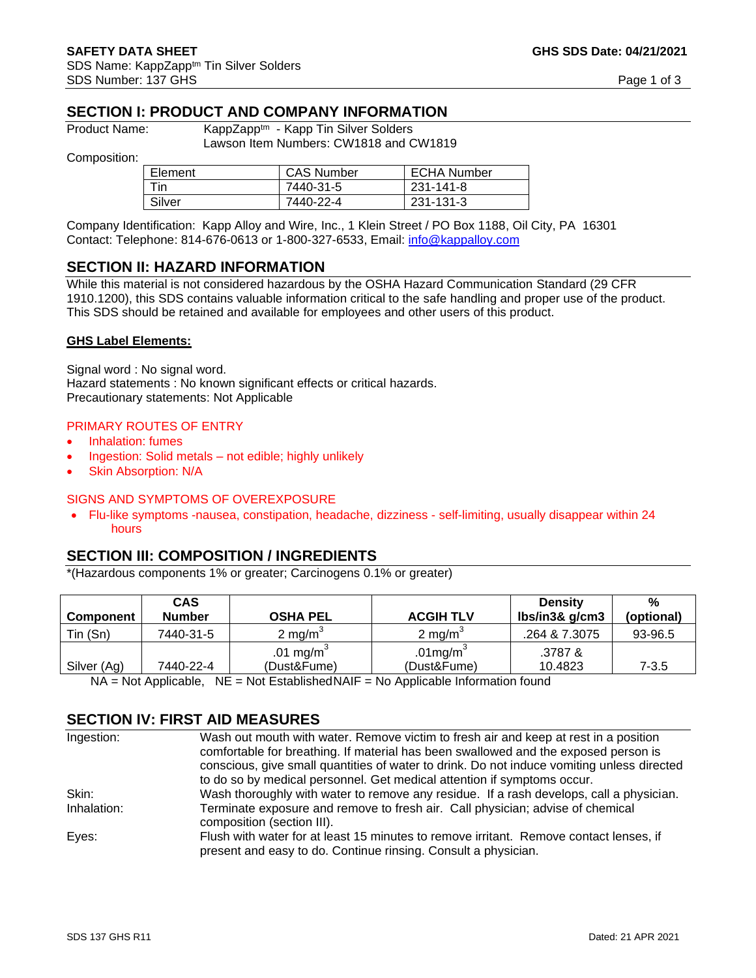# **SECTION I: PRODUCT AND COMPANY INFORMATION**

Product Name: KappZapp<sup>tm</sup> - Kapp Tin Silver Solders Lawson Item Numbers: CW1818 and CW1819

Composition:

| Element | <b>CAS Number</b> | <b>ECHA Number</b> |
|---------|-------------------|--------------------|
| Tin     | 7440-31-5         | 231-141-8          |
| Silver  | 7440-22-4         | 231-131-3          |

Company Identification: Kapp Alloy and Wire, Inc., 1 Klein Street / PO Box 1188, Oil City, PA 16301 Contact: Telephone: 814-676-0613 or 1-800-327-6533, Email: [info@kappalloy.com](mailto:info@kappalloy.com)

#### **SECTION II: HAZARD INFORMATION**

While this material is not considered hazardous by the OSHA Hazard Communication Standard (29 CFR 1910.1200), this SDS contains valuable information critical to the safe handling and proper use of the product. This SDS should be retained and available for employees and other users of this product.

#### **GHS Label Elements:**

Signal word : No signal word. Hazard statements : No known significant effects or critical hazards. Precautionary statements: Not Applicable

#### PRIMARY ROUTES OF ENTRY

- Inhalation: fumes
- Ingestion: Solid metals not edible; highly unlikely
- Skin Absorption: N/A

#### SIGNS AND SYMPTOMS OF OVEREXPOSURE

• Flu-like symptoms -nausea, constipation, headache, dizziness - self-limiting, usually disappear within 24 hours

#### **SECTION III: COMPOSITION / INGREDIENTS**

\*(Hazardous components 1% or greater; Carcinogens 0.1% or greater)

| <b>Component</b> | <b>CAS</b><br><b>Number</b> | <b>OSHA PEL</b>       | <b>ACGIH TLV</b>    | <b>Density</b><br>lbs/in3& g/cm3 | %<br>(optional) |
|------------------|-----------------------------|-----------------------|---------------------|----------------------------------|-----------------|
| Tin (Sn)         | 7440-31-5                   | 2 mg/m <sup>3</sup>   | 2 mg/m <sup>3</sup> | .264 & 7.3075                    | 93-96.5         |
|                  |                             | .01 mg/m <sup>3</sup> | .01 $mg/m3$         | .3787 &                          |                 |
| Silver (Ag)      | 7440-22-4                   | (Dust&Fume)           | (Dust&Fume)         | 10.4823                          | 7-3.5           |

 $NA = Not$  Applicable,  $NE = Not$  Established NAIF = No Applicable Information found

## **SECTION IV: FIRST AID MEASURES**

| Ingestion:  | Wash out mouth with water. Remove victim to fresh air and keep at rest in a position                                                                     |
|-------------|----------------------------------------------------------------------------------------------------------------------------------------------------------|
|             | comfortable for breathing. If material has been swallowed and the exposed person is                                                                      |
|             | conscious, give small quantities of water to drink. Do not induce vomiting unless directed                                                               |
|             | to do so by medical personnel. Get medical attention if symptoms occur.                                                                                  |
| Skin:       | Wash thoroughly with water to remove any residue. If a rash develops, call a physician.                                                                  |
| Inhalation: | Terminate exposure and remove to fresh air. Call physician; advise of chemical<br>composition (section III).                                             |
| Eyes:       | Flush with water for at least 15 minutes to remove irritant. Remove contact lenses, if<br>present and easy to do. Continue rinsing. Consult a physician. |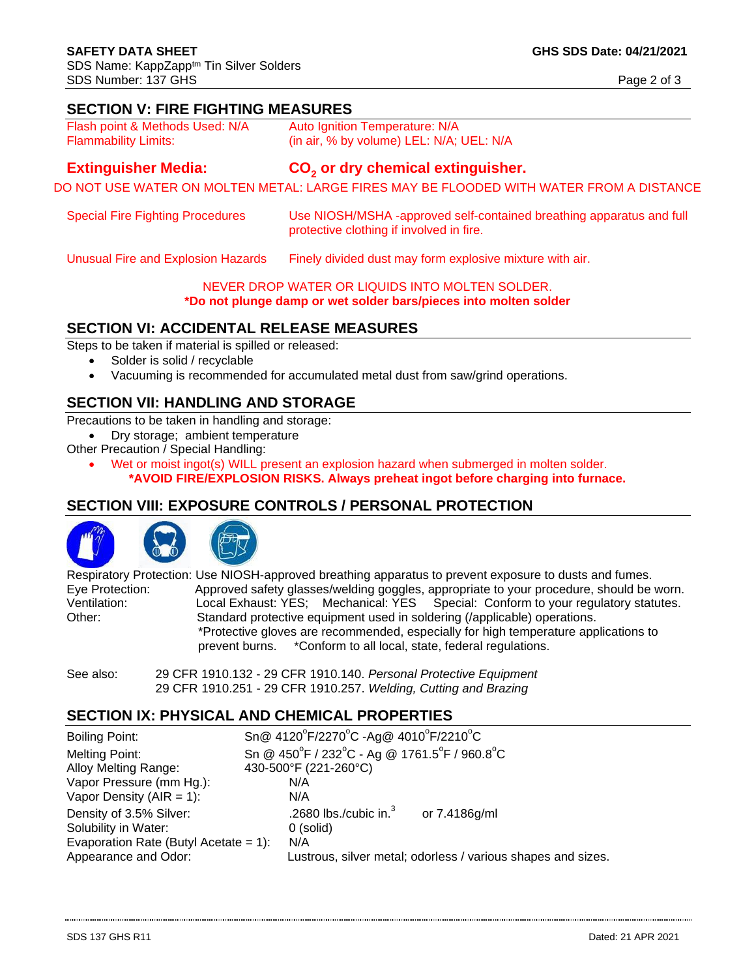## **SECTION V: FIRE FIGHTING MEASURES**

| Flash point & Methods Used: N/A | Auto Ignition Temperature: N/A           |
|---------------------------------|------------------------------------------|
| <b>Flammability Limits:</b>     | (in air, % by volume) LEL: N/A; UEL: N/A |

#### **Extinguisher Media: or dry chemical extinguisher.**

DO NOT USE WATER ON MOLTEN METAL: LARGE FIRES MAY BE FLOODED WITH WATER FROM A DISTANCE

| <b>Special Fire Fighting Procedures</b> | Use NIOSH/MSHA -approved self-contained breathing apparatus and full |
|-----------------------------------------|----------------------------------------------------------------------|
|                                         | protective clothing if involved in fire.                             |

Unusual Fire and Explosion Hazards Finely divided dust may form explosive mixture with air.

#### NEVER DROP WATER OR LIQUIDS INTO MOLTEN SOLDER.

#### **\*Do not plunge damp or wet solder bars/pieces into molten solder**

# **SECTION VI: ACCIDENTAL RELEASE MEASURES**

Steps to be taken if material is spilled or released:

- Solder is solid / recyclable
- Vacuuming is recommended for accumulated metal dust from saw/grind operations.

# **SECTION VII: HANDLING AND STORAGE**

Precautions to be taken in handling and storage:

• Dry storage; ambient temperature

Other Precaution / Special Handling:

• Wet or moist ingot(s) WILL present an explosion hazard when submerged in molten solder. **\*AVOID FIRE/EXPLOSION RISKS. Always preheat ingot before charging into furnace.**

## **SECTION VIII: EXPOSURE CONTROLS / PERSONAL PROTECTION**



Respiratory Protection: Use NIOSH-approved breathing apparatus to prevent exposure to dusts and fumes. Eye Protection: Approved safety glasses/welding goggles, appropriate to your procedure, should be worn.<br>Ventilation: Local Exhaust: YES; Mechanical: YES Special: Conform to your regulatory statutes. Special: Conform to your regulatory statutes. Other: Standard protective equipment used in soldering (/applicable) operations. \*Protective gloves are recommended, especially for high temperature applications to prevent burns. \*Conform to all local, state, federal regulations.

See also: 29 CFR 1910.132 - 29 CFR 1910.140. *Personal Protective Equipment* 29 CFR 1910.251 - 29 CFR 1910.257. *Welding, Cutting and Brazing*

# **SECTION IX: PHYSICAL AND CHEMICAL PROPERTIES**

| Boiling Point:                                           | Sn @ 4120°F/2270°C -Ag @ 4010°F/2210°C                                                  |  |  |
|----------------------------------------------------------|-----------------------------------------------------------------------------------------|--|--|
| Melting Point:                                           | Sn @ $450^{\circ}$ F / 232 $^{\circ}$ C - Ag @ 1761.5 $^{\circ}$ F / 960.8 $^{\circ}$ C |  |  |
| Alloy Melting Range:                                     | 430-500°F (221-260°C)<br>N/A                                                            |  |  |
| Vapor Pressure (mm Hg.):<br>Vapor Density ( $AIR = 1$ ): | N/A                                                                                     |  |  |
|                                                          | .2680 lbs./cubic in. $3$                                                                |  |  |
| Density of 3.5% Silver:<br>Solubility in Water:          | or 7.4186g/ml<br>0 (solid)                                                              |  |  |
| Evaporation Rate (Butyl Acetate = $1$ ):                 | N/A                                                                                     |  |  |
| Appearance and Odor:                                     | Lustrous, silver metal; odorless / various shapes and sizes.                            |  |  |